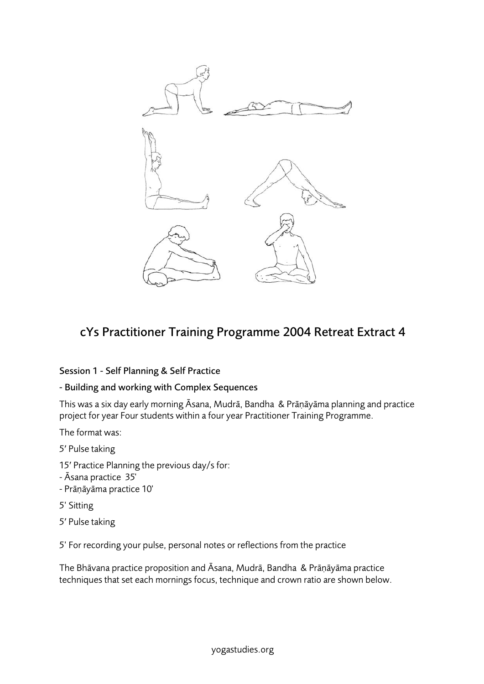

## cYs Practitioner Training Programme 2004 Retreat Extract 4

## Session 1 - Self Planning & Self Practice

## - Building and working with Complex Sequences

This was a six day early morning Āsana, Mudrā, Bandha & Prāṇāyāma planning and practice project for year Four students within a four year Practitioner Training Programme.

The format was:

5′ Pulse taking

- 15′ Practice Planning the previous day/s for:
- Āsana practice 35'
- Prāṇāyāma practice 10'
- 5' Sitting
- 5′ Pulse taking

5' For recording your pulse, personal notes or reflections from the practice

The Bhāvana practice proposition and Āsana, Mudrā, Bandha & Prāṇāyāma practice techniques that set each mornings focus, technique and crown ratio are shown below.